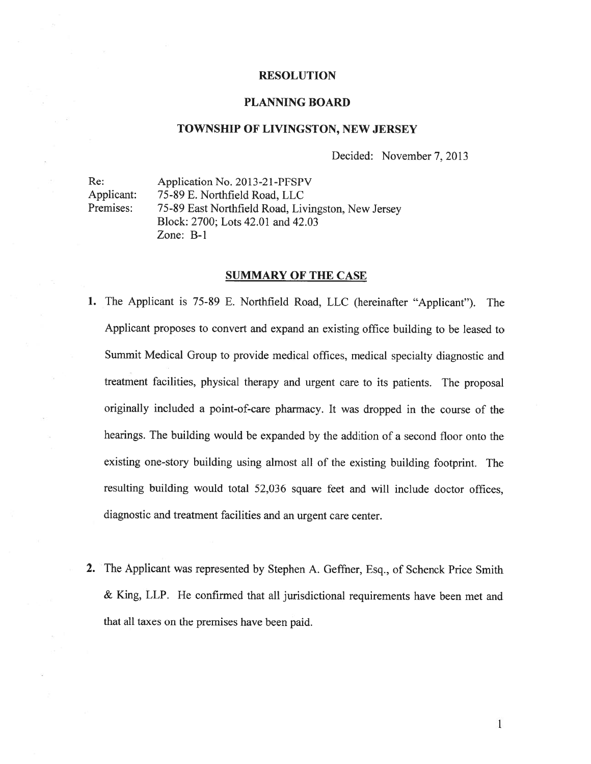#### RESOLUTION

#### PLANNING BOARD

#### TOWNSHIP OF LIVINGSTON, NEW JERSEY

Decided: November 7. 2013

Re: Application No. 2013-21-PFSPV Applicant: 75-89 E. Northfield Road, LLC Premises: 75-89 East Northfield Road, Livingston, New Jersey Block: 2700; Lots 42.01 and 42.03 Zone: B-i

#### SUMMARY OF THE CASE

- 1. The Applicant is 75-89 E. Northfield Road, LLC (hereinafter 'Applicant"). The Applicant proposes to convert and expan<sup>d</sup> an existing office building to be leased to Summit Medical Group to provide medical offices, medical specialty diagnostic and treatment facilities, <sup>p</sup>hysical therapy and urgen<sup>t</sup> care to its patients. The proposa<sup>l</sup> originally included <sup>a</sup> point-of-care <sup>p</sup>harmacy. It was dropped in the course of the hearings. The building would be expanded by the addition of <sup>a</sup> second floor onto the existing one-story building using almost all of the existing building footprint. The resulting building would total 52,036 square feet and will include doctor offices, diagnostic and treatment facilities and an urgen<sup>t</sup> care center.
- 2. The Applicant was represented by Stephen A. Geffner, Esq., of Schenck Price Smith & King, LLP. He confirmed that all jurisdictional requirements have been met and that all taxes on the premises have been paid.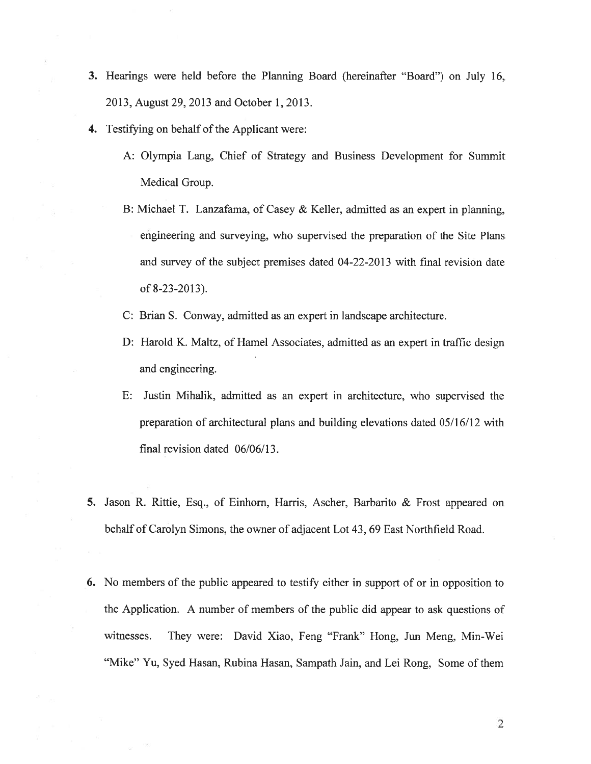- 3. Hearings were held before the Planning Board (hereinafter "Board") on July 16, 2013, August 29, 2013 and October 1, 2013.
- 4. Testifying on behalf of the Applicant were:
	- A: Olympia Lang, Chief of Strategy and Business Development for Summit Medical Group.
	- B: Michael T. Lanzafama, of Casey & Keller, admitted as an exper<sup>t</sup> in planning, engineering and surveying, who supervised the preparation of the Site Plans and survey of the subject premises dated 04-22-2013 with final revision date of 8-23 -2013).
	- C: Brian S. Conway, admitted as an exper<sup>t</sup> in landscape architecture.
	- D: Harold K. Maltz, of Hamel Associates, admitted as an exper<sup>t</sup> in traffic design and engineering.
	- E: Justin Mihalik, admitted as an exper<sup>t</sup> in architecture, who supervised the preparation of architectural plans and building elevations dated 05/16/12 with final revision dated 06/06/13.
- 5. Jason R. Rittie, Esq., of Einhorn, Harris, Ascher, Barbarito & Frost appeared on behalf of Carolyn Simons, the owner of adjacent Lot 43, 69 East Northfield Road.
- 6. No members of the public appeared to testify either in suppor<sup>t</sup> of or in opposition to the Application. A number of members of the public did appear to ask questions of witnesses. They were: David Xiao, Feng "Frank" Hong, Jun Meng, Min-Wei "Mike" Yu, Syed Hasan, Rubina Hasan, Sampath Jain, and Lei Rong, Some of them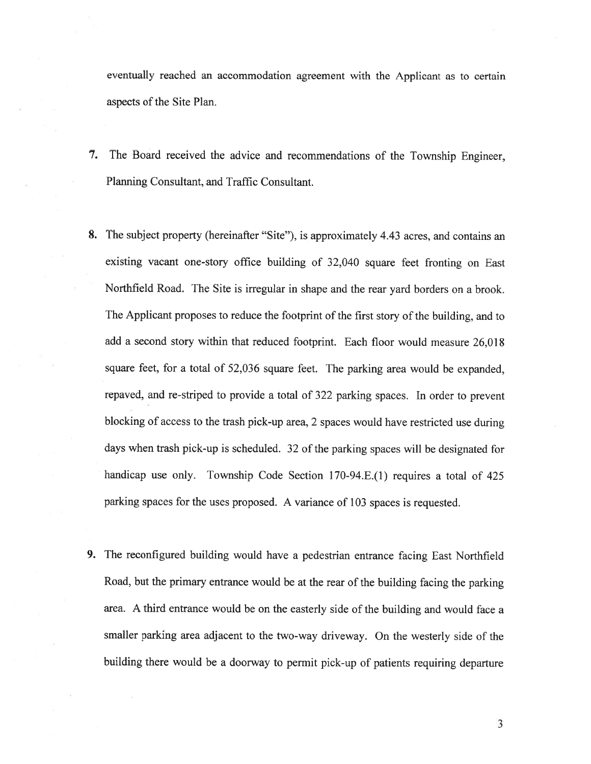eventually reached an accommodation agreemen<sup>t</sup> with the Applicant as to certain aspects of the Site Plan.

- 7. The Board received the advice and recommendations of the Township Engineer, Planning Consultant, and Traffic Consultant.
- 8. The subject property (hereinafter "Site"), is approximately 4.43 acres. and contains an existing vacant one-story office building of 32,040 square feet fronting on East Northfield Road. The Site is irregular in shape and the rear yard borders on <sup>a</sup> brook. The Applicant proposes to reduce the footprint of the first story of the building, and to add <sup>a</sup> second story within that reduced footprint. Each floor would measure 26,018 square feet, for <sup>a</sup> total of 52,036 square feet. The parking area would be expanded. repaved, and re-striped to provide <sup>a</sup> total of <sup>322</sup> parking spaces. In order to preven<sup>t</sup> blocking of access to the trash <sup>p</sup>ick-up area, <sup>2</sup> spaces would have restricted use during days when trash <sup>p</sup>ick-up is scheduled. <sup>32</sup> of the parking spaces will be designated for handicap use only. Township Code Section 170-94.E.(1) requires <sup>a</sup> total of <sup>425</sup> parking spaces for the uses proposed. <sup>A</sup> variance of <sup>103</sup> spaces is requested.
- 9. The reconfigured building would have <sup>a</sup> pedestrian entrance facing East Northfield Road, but the primary entrance would be at the rear of the building facing the parking area. <sup>A</sup> third entrance would be on the easterly side of the building and would face <sup>a</sup> smaller parking area adjacent to the two-way driveway, On the westerly side of the building there would be <sup>a</sup> doorway to permit <sup>p</sup>ick-up of patients requiring departure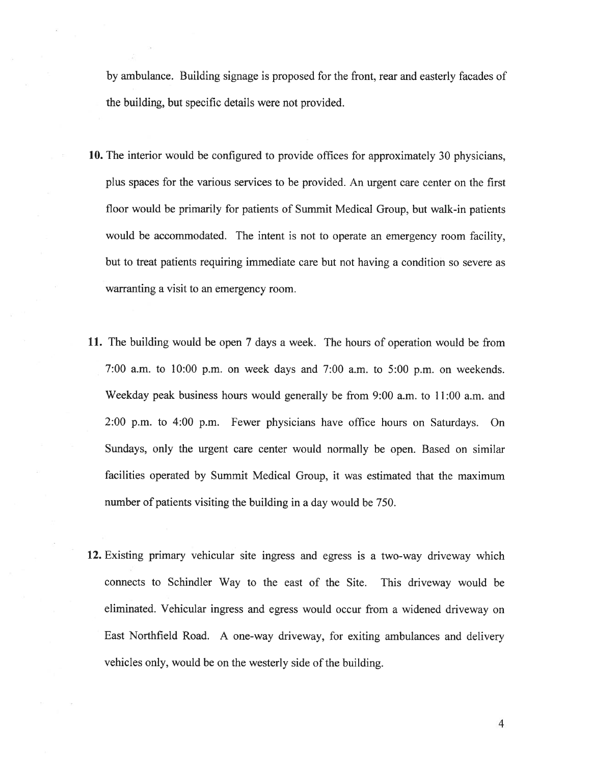by ambulance. Building signage is proposed for the front, rear and easterly facades of the building, but specific details were not provided.

- 10. The interior would be configured to provide offices for approximately 30 physicians. plus spaces for the various services to be provided. An urgen<sup>t</sup> care center on the first floor would be primarily for patients of Summit Medical Group, but walk-in patients would be accommodated. The intent is not to operate an emergency room facility. but to treat patients requiring immediate care but not having <sup>a</sup> condition so severe as warranting <sup>a</sup> visit to an emergency room.
- 11. The building would be open 7 days <sup>a</sup> week. The hours of operation would be from 7:00 a.m. to 10:00 p.m. on week days and 7:00 a.m. to 5:00 p.m. on weekends. Weekday peak business hours would generally be from  $9:00$  a.m. to 11:00 a.m. and 2:00 p.m. to 4:00 p.m. Fewer physicians have office hours on Saturdays. On Sundays, only the urgen<sup>t</sup> care center would normally be open. Based on similar facilities operated by Summit Medical Group, it was estimated that the maximum number of patients visiting the building in <sup>a</sup> day would be 750.
- 12. Existing primary vehicular site ingress and egress is <sup>a</sup> two-way driveway which connects to Schindler Way to the east of the Site. This driveway would be eliminated. Vehicular ingress and egress would occur from <sup>a</sup> widened driveway on East Northfield Road. A one-way driveway, for exiting ambulances and delivery vehicles only, would be on the westerly side of the building.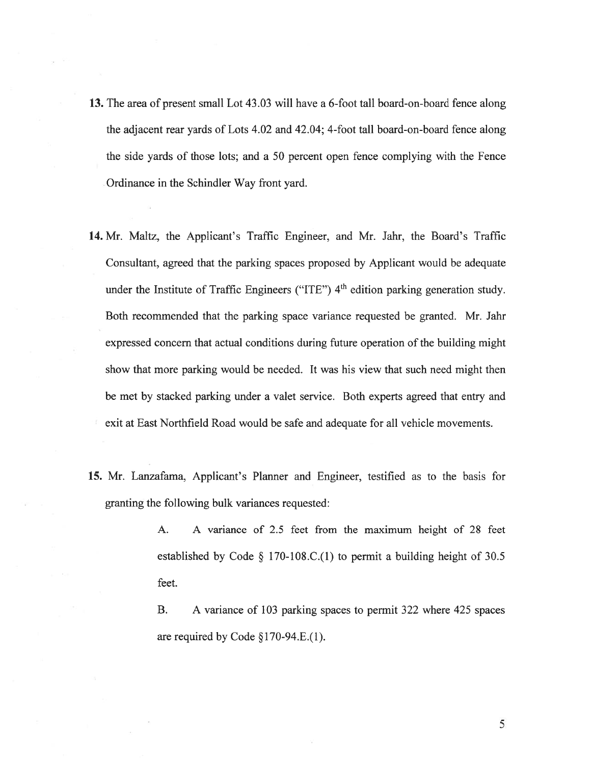- 13. The area of presen<sup>t</sup> small Lot 43.03 will have <sup>a</sup> 6-foot tall board-on-board fence along the adjacent rear yards of Lots 4.02 and 42.04; 4-foot tall board-on-board fence along the side yards of those lots; and <sup>a</sup> 50 percen<sup>t</sup> open fence complying with the Fence Ordinance in the Schindler Way front yard.
- 14. Mr. Maltz, the Applicant's Traffic Engineer, and Mr. Jahr, the Board's Traffic Consultant, agreed that the parking spaces proposed by Applicant would be adequate under the Institute of Traffic Engineers ("ITE")  $4<sup>th</sup>$  edition parking generation study. Both recommended that the parking space variance requested be granted. Mr. Jahr expressed concern that actual conditions during future operation of the building might show that more parking would be needed. It was his view that such need might then be met by stacked parking under <sup>a</sup> valet service. Both experts agreed that entry and exit at East Northfield Road would be safe and adequate for all vehicle movements.
- 15. Mr. Lanzafama, Applicant's Planner and Engineer, testified as to the basis for granting the following bulk variances requested:

A. A variance of 2.5 feet from the maximum height of 28 feet established by Code § 170-108.C.(1) to permit <sup>a</sup> building height of 30.5 feet.

B. A variance of 103 parking spaces to permit 322 where 425 spaces are required by Code §170-94.E.(l).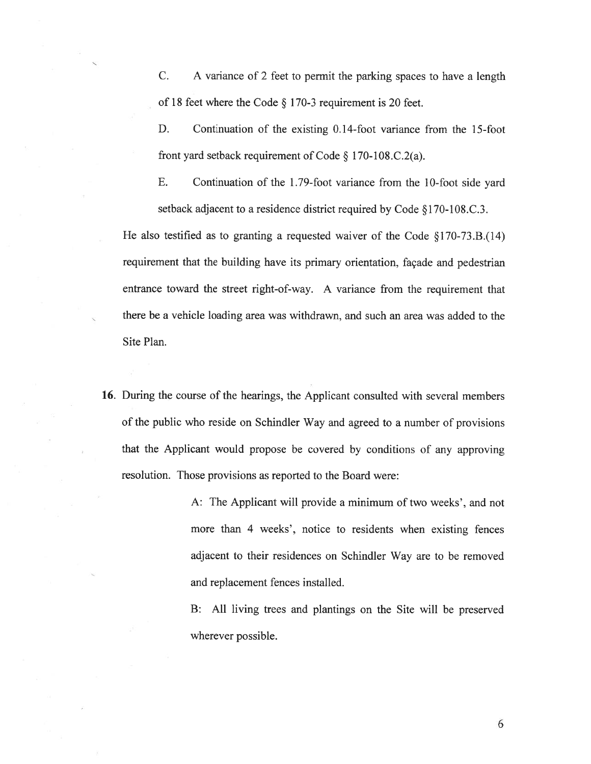C. A variance of 2 feet to permit the parking spaces to have <sup>a</sup> length of <sup>18</sup> feet where the Code § 170-3 requirement is <sup>20</sup> feet.

D. Continuation of the existing 0.14-foot variance from the 15-foot front yar<sup>d</sup> setback requirement of Code § 170-108.C.2(a).

E. Continuation of the 1.79-foot variance from the 10-foot side yard setback adjacent to <sup>a</sup> residence district required by Code §170-108.C.3.

He also testified as to granting <sup>a</sup> requested waiver of the Code §170-73.B.(14) requirement that the building have its primary orientation, façade and pedestrian entrance toward the Street right-of-way. A variance from the requirement that there be <sup>a</sup> vehicle loading area was withdrawn, and such an area was added to the Site Plan.

16. During the course of the hearings, the Applicant consulted with several members of the public who reside on Schindler Way and agreed to <sup>a</sup> number of provisions that the Applicant would propose be covered by conditions of any approving resolution. Those provisions as reported to the Board were:

> A: The Applicant will provide <sup>a</sup> minimum of two weeks', and not more than 4 weeks', notice to residents when existing fences adjacent to their residences on Schindler Way are to be removed and replacement fences installed.

> B: All living trees and plantings on the Site will be preserved wherever possible.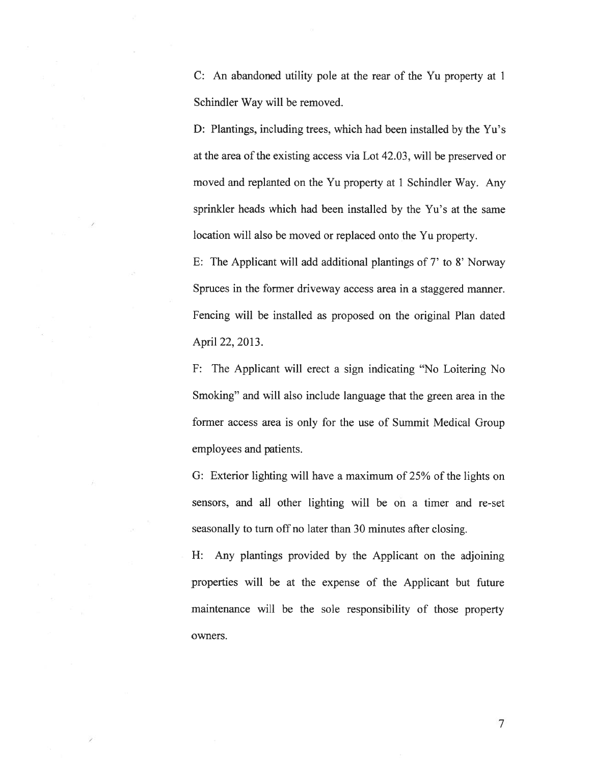C: An abandoned utility pole at the rear of the Yu property at 1 Schindler Way will be removed.

D: Plantings, including trees, which had been installed by the Yu's at the area of the existing access via Lot 42.03. will be preserved or moved and replanted on the Yu property at I Schindler Way. Any sprinkler heads which had been installed by the Yu's at the same location will also be moved or replaced onto the Yu property.

E: The Applicant will add additional plantings of 7' to 8' Norway Spruces in the former driveway access area in a staggered manner. Fencing will be installed as proposed on the original Plan dated April 22, 2013.

F: The Applicant will erect <sup>a</sup> sign indicating 'No Loitering No Smoking" and will also include language that the green area in the former access area is only for the use of Summit Medical Group employees and patients.

G: Exterior lighting will have <sup>a</sup> maximum of 25% of the lights on sensors, and all other lighting will be on <sup>a</sup> timer and re-set seasonally to turn off no later than 30 minutes after closing.

H: Any plantings provided by the Applicant on the adjoining properties will be at the expense of the Applicant but future maintenance will be the sole responsibility of those property owners.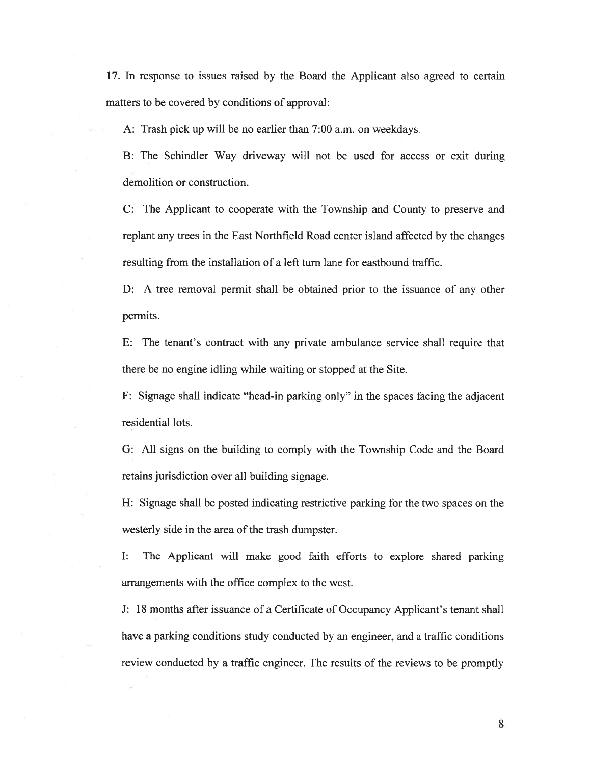17. In response to issues raised by the Board the Applicant also agreed to certain matters to be covered by conditions of approval:

A: Trash pick up will be no earlier than 7:00 a.m. on weekdays.

B: The Schindler Way driveway will not be used for access or exit during demolition or construction.

C: The Applicant to cooperate with the Township and County to preserve and replant any trees in the East Northfield Road center island affected by the changes resulting from the installation of <sup>a</sup> left turn lane for eastbound traffic.

D: A tree removal permit shall be obtained prior to the issuance of any other permits.

E: The tenant's contract with any private ambulance service shall require that there be no engine idling while waiting or stopped at the Site.

F: Signage shall indicate "head-in parking only" in the spaces facing the adjacent residential lots.

G: All signs on the building to comply with the Township Code and the Board retains jurisdiction over all building signage.

H: Signage shall be posted indicating restrictive parking for the two spaces on the westerly side in the area of the trash dumpster.

I: The Applicant will make good faith efforts to explore shared parking arrangements with the office complex to the west.

J: 18 months after issuance of <sup>a</sup> Certificate of Occupancy Applicant's tenant shall have <sup>a</sup> parking conditions study conducted by an engineer, and <sup>a</sup> traffic conditions review conducted by <sup>a</sup> traffic engineer. The results of the reviews to be promptly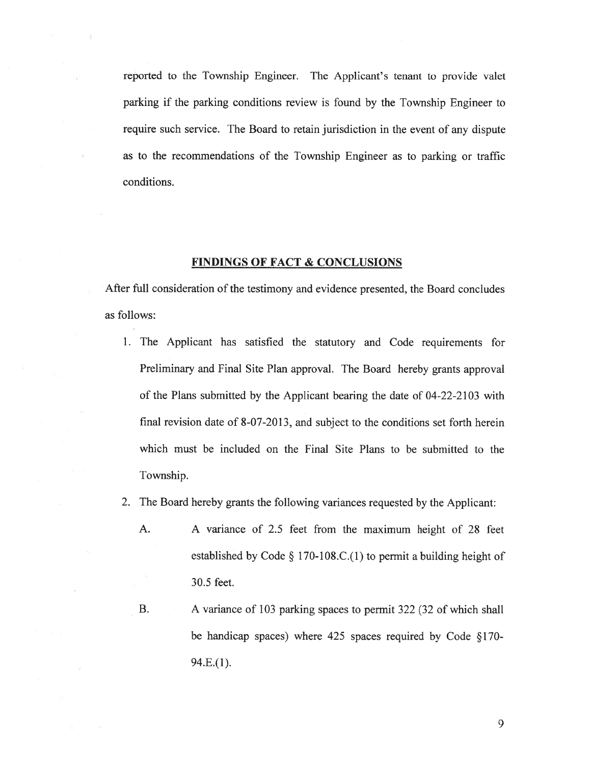reported to the Township Engineer. The Applicant's tenant to provide valet parking if the parking conditions review is found by the Township Engineer to require such service. The Board to retain jurisdiction in the event of any dispute as to the recommendations of the Township Engineer as to parking or traffic conditions.

### FINDINGS OF FACT & CONCLUSIONS

After full consideration of the testimony and evidence presented, the Board concludes as follows:

- 1. The Applicant has satisfied the statutory and Code requirements for Preliminary and Final Site Plan approval. The Board hereby grants approval of the Plans submitted by the Applicant bearing the date of 04-22-2103 with final revision date of 8-07-2013, and subject to the conditions set forth herein which must be included on the Final Site Plans to be submitted to the Township.
- 2. The Board hereby grants the following variances requested by the Applicant:
	- A. A variance of 2.5 feet from the maximum height of 28 feet established by Code  $\S 170-108$ .C.(1) to permit a building height of 30.5 feet.
	- B. A variance of 103 parking spaces to permit 322 (32 of which shall be handicap spaces) where 425 spaces required by Code §170- 94.E.(1).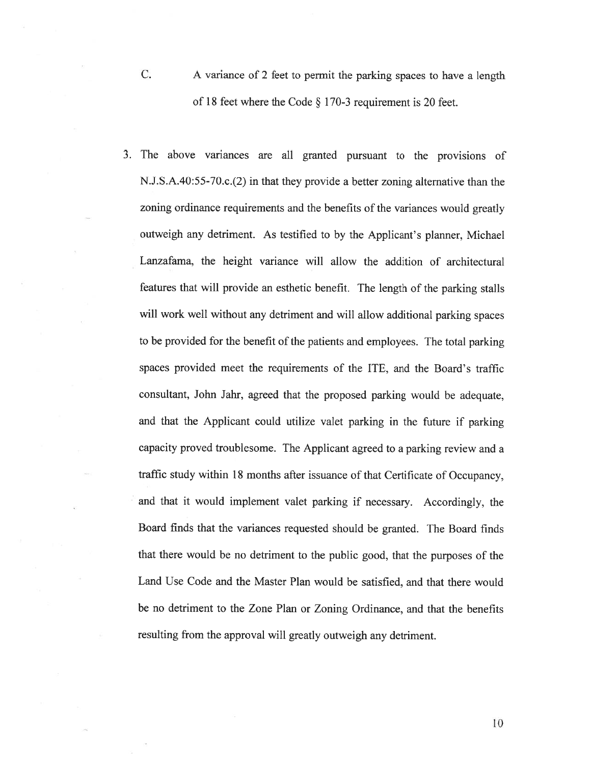- C. <sup>A</sup> variance of <sup>2</sup> feet to permit the parking spaces to have <sup>a</sup> length of <sup>18</sup> feet where the Code § 170-3 requirement is <sup>20</sup> feet.
- 3. The above variances are all granted pursuan<sup>t</sup> to the provisions of N.J.S.A.40:55-70.c.(2) in that they provide <sup>a</sup> better zoning alternative than the zoning ordinance requirements and the benefits of the variances would greatly outweigh any detriment. As testified to by the Applicant's <sup>p</sup>lanner. Michael Lanzafama, the height variance will allow the addition of architectural features that will provide an esthetic benefit. The length of the parking stalls will work well without any detriment and will allow additional parking spaces to be provided for the benefit of the patients and employees. The total parking spaces provided meet the requirements of the ITE, and the Board's traffic consultant, John Jahr, agree<sup>d</sup> that the propose<sup>d</sup> parking would be adequate, and that the Applicant could utilize valet parking in the future if parking capacity proved troublesome. The Applicant agreed to <sup>a</sup> parking review and <sup>a</sup> traffic study within <sup>18</sup> months after issuance of that Certificate of Occupancy, and that it would implement valet parking if necessary. Accordingly, the Board finds that the variances requested should be granted. The Board finds that there would be no detriment to the public good, that the purposes of the Land Use Code and the Master Plan would be satisfied, and that there would be no detriment to the Zone Plan or Zoning Ordinance, and that the benefits resulting from the approva<sup>l</sup> will greatly outweigh any detriment.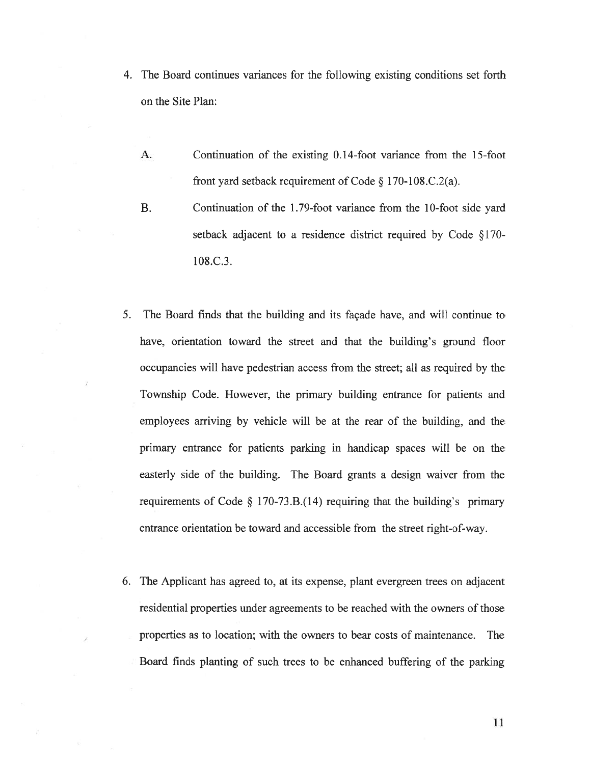- 4. The Board continues variances for the following existing conditions set forth on the Site Plan:
	- A. Continuation of the existing 0.14-foot variance from the 15-foot front yar<sup>d</sup> setback requirement of Code § 170-108.C.2(a).
	- B. Continuation of the 1.79-foot variance from the 10-foot side yard setback adjacent to <sup>a</sup> residence district required by Code §170- 108.C.3.
- 5. The Board finds that the building and its façade have, and will continue to have, orientation toward the street and that the building's ground floor occupancies will have pedestrian access from the street; all as required by the Township Code. However, the primary building entrance for patients and employees arriving by vehicle will be at the rear of the building, and the primary entrance for patients parking in handicap spaces will be on the easterly side of the building. The Board grants <sup>a</sup> design waiver from the requirements of Code  $\S$  170-73.B.(14) requiring that the building's primary entrance orientation be toward and accessible from the street right-of-way.
- 6. The Applicant has agreed to, at its expense, plant evergreen trees on adjacent residential properties under agreements to be reached with the owners of those properties as to location; with the owners to bear costs of maintenance. The Board finds planting of such trees to be enhanced buffering of the parking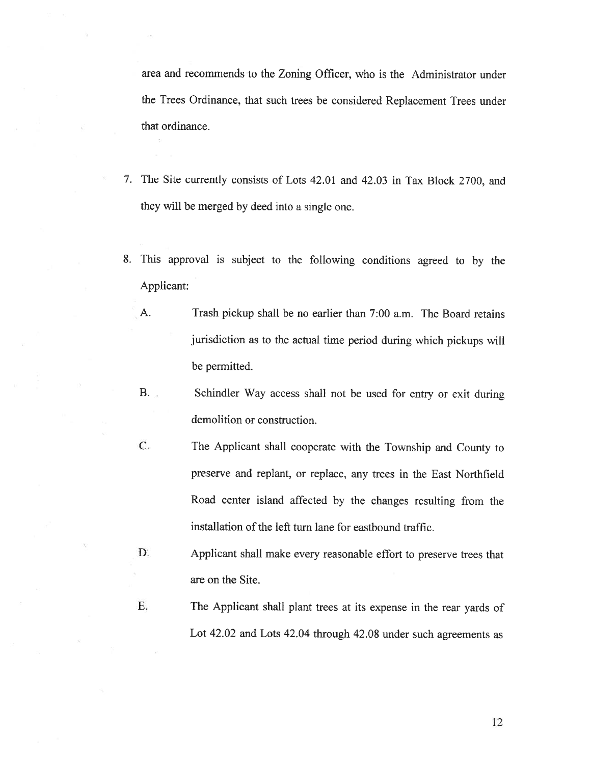area and recommends to the Zoning Officer, who is the Administrator under the Trees Ordinance, that such trees be considered Replacement Trees under that ordinance.

- 7. The Site currently consists of Lots 42.01 and 42.03 in Tax Block 2700. and they will be merged by deed into <sup>a</sup> single one.
- 8. This approva<sup>l</sup> is subject to the following conditions agree<sup>d</sup> to by the Applicant:
	- A. Trash pickup shall be no earlier than 7:00 a.m. The Board retains jurisdiction as to the actual time period during which <sup>p</sup>ickups will be permitted.
	- B. Schindler Way access shall not be used for entry or exit during demolition or construction.
	- C. The Applicant shall cooperate with the Township and County to preserve and replant, or replace, any trees in the East Northfield Road center island affected by the changes resulting from the installation of the left turn lane for eastbound traffic.
	- D. Applicant shall make every reasonable effort to preserve trees that are on the Site.
	- E. The Applicant shall <sup>p</sup>lant trees at its expense in the rear yards of Lot 42.02 and Lots 42.04 through 42.08 under such agreements as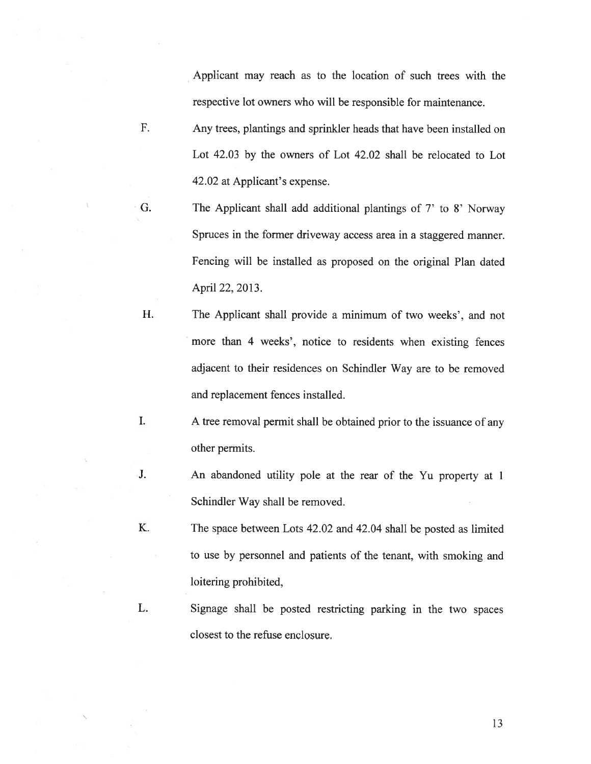Applicant may reach as to the location of such trees with the respective lot owners who will be responsible for maintenance.

- F. Any trees, plantings and sprinkler heads that have been installed on Lot 42.03 by the owners of Lot 42.02 shall be relocated to Lot 42.02 at Applicant's expense.
- G. The Applicant shall add additional <sup>p</sup>lantings of 7' to 8' Norway Spruces in the former driveway access area in <sup>a</sup> staggered manner. Fencing will be installed as proposed on the original Plan dated April 22, 2013.
- H. The Applicant shall provide <sup>a</sup> minimum of two weeks', and not more than 4 weeks', notice to residents when existing fences adjacent to their residences on Schindler Way are to be removed and replacement fences installed.
- I. <sup>A</sup> tree removal permit shall be obtained prior to the issuance of any other permits.
- J. An abandoned utility pole at the rear of the Yu property at 1 Schindler Way shall be removed.
- K. The space between Lots 42.02 and 42.04 shall be posted as limited to use by personnel and patients of the tenant, with smoking and loitering prohibited,
- L. Signage shall be posted restricting parking in the two spaces closest to the refuse enclosure.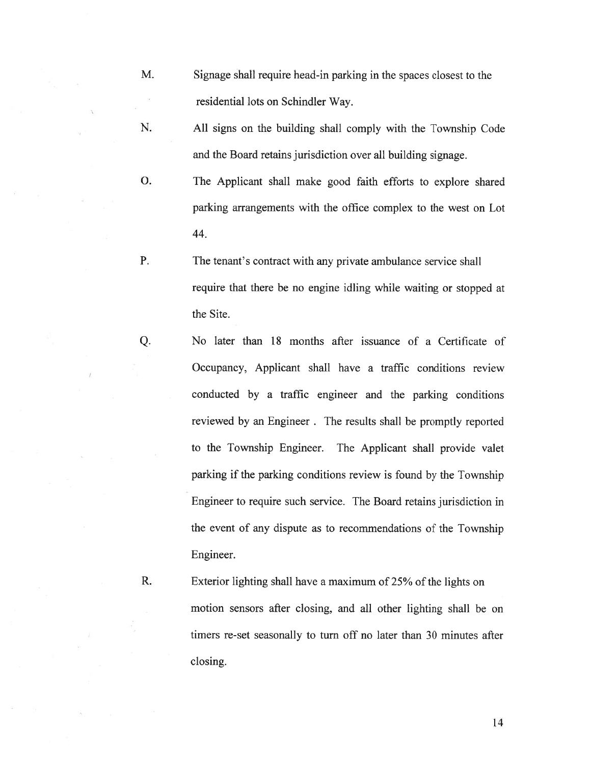- M. Signage shall require head-in parking in the spaces closest to the residential lots on Schindler Way.
- N. All signs on the building shall comply with the Township Code and the Board retains jurisdiction over all building signage.
- 0. The Applicant shall make good faith efforts to explore shared parking arrangements with the office complex to the west on Lot 44.
- P. The tenant's contract with any private ambulance service shall require that there be no engine idling while waiting or stopped at the Site.
- Q. No later than <sup>18</sup> months after issuance of <sup>a</sup> Certificate of Occupancy, Applicant shall have <sup>a</sup> traffic conditions review conducted by <sup>a</sup> traffic engineer and the parking conditions reviewed by an Engineer . The results shall be promptly reported to the Township Engineer. The Applicant shall provide valet parking if the parking conditions review is found by the Township Engineer to require such service. The Board retains jurisdiction in the event of any dispute as to recommendations of the Township Engineer.

R. Exterior lighting shall have <sup>a</sup> maximum of 25% of the lights on motion sensors after closing, and all other lighting shall be on timers re-set seasonally to turn off no later than 30 minutes after closing.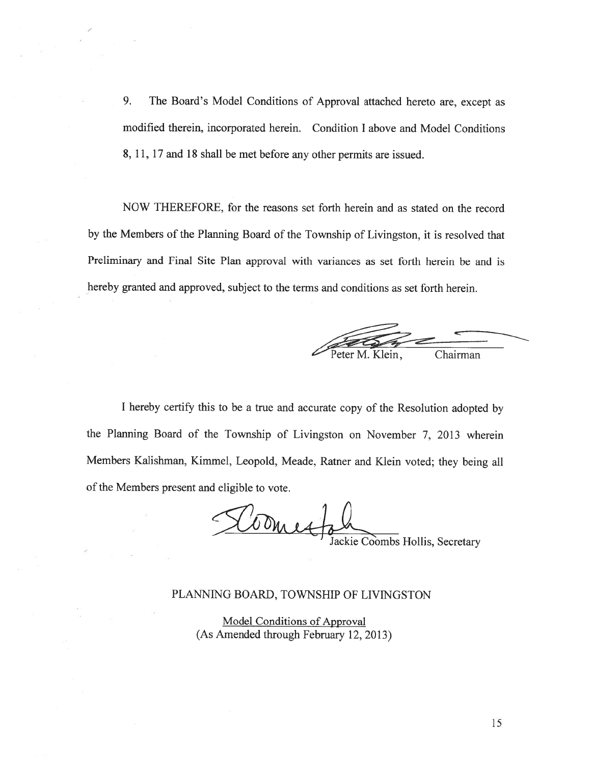9. The Board's Model Conditions of Approval attached hereto are, excep<sup>t</sup> as modified therein, incorporated herein. Condition <sup>I</sup> above and Model Conditions 8, 11, 17 and 18 shall be met before any other permits are issued.

NOW THEREFORE, for the reasons set forth herein and as stated on the record by the Members of the Planning Board of the Township of Livingston, it is resolved that Preliminary and Final Site Plan approval with variances as set forth herein be and is hereby granted and approved, subject to the terms and conditions as set forth herein.

Chairman

<sup>I</sup> hereby certify this to be <sup>a</sup> true and accurate copy of the Resolution adopted by the Planning Board of the Township of Livingston on November 7, <sup>2013</sup> wherein Members Kalishman, Kimmel, Leopold, Meade, Ratner and Klein voted; they being all of the Members presen<sup>t</sup> and eligible to vote.

Come ackie Coombs Hollis, Secretary

# PLANNING BOARD, TOWNSHIP OF LIVINGSTON

Model Conditions of Approval (As Amended through February 12, 2013)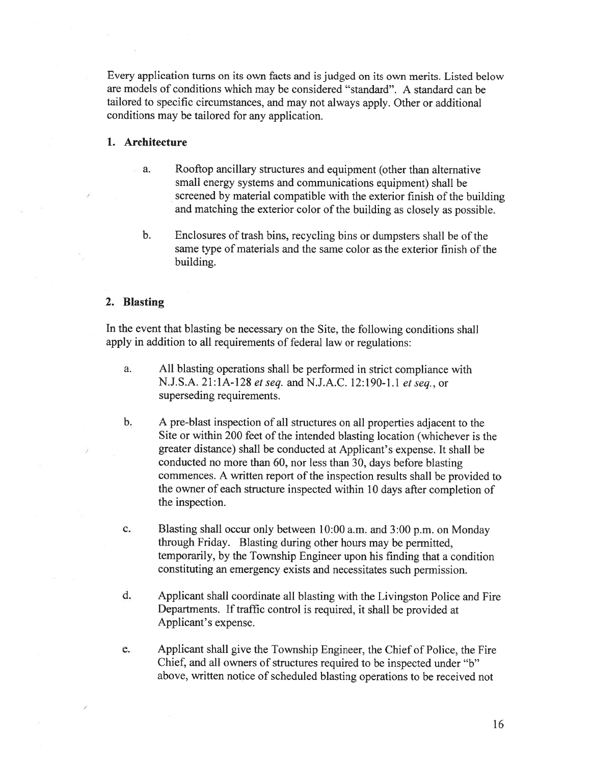Every application turns on its own facts and is judged on its own merits. Listed below are models of conditions which may be considered "standard". A standard can be tailored to specific circumstances, and may not always apply. Other or additional conditions may be tailored for any application.

# 1. Architecture

- a. Rooftop ancillary structures and equipment (other than alternative small energy systems and communications equipment) shall be screened by material compatible with the exterior finish of the building and matching the exterior color of the building as closely as possible.
- b. Enclosures of trash bins, recycling bins or dumpsters shall be of the same type of materials and the same color as the exterior finish of the building.

# 2. Blasting

In the event that blasting be necessary on the Site, the following conditions shall apply in addition to all requirements of federal law or regulations:

- a. All blasting operations shall be performed in strict compliance with N.J.S.A. 21:1A-128 et seq. and N.J.A.C. 12:190-1.1 et seq., or superseding requirements.
- b. <sup>A</sup> pre-blast inspection of all structures on all properties adjacent to the Site or within 200 feet of the intended blasting location (whichever is the greater distance) shall be conducted at Applicant's expense. It shall be conducted no more than 60, nor less than 30, days before blasting commences. <sup>A</sup> written repor<sup>t</sup> of the inspection results shall be provided to the owner of each structure inspected within <sup>10</sup> days after completion of the inspection.
- c. Blasting shall occur only between 10:00 a.m. and 3:00 p.m. on Monday through Friday. Blasting during other hours may be permitted, temporarily, by the Township Engineer upon his finding that <sup>a</sup> condition constituting an emergency exists and necessitates such permission.
- d. Applicant shall coordinate all blasting with the Livingston Police and Fire Departments. If traffic control is required, it shall be provided at Applicant's expense.
- e. Applicant shall <sup>g</sup>ive the Township Engineer, the Chief of Police, the Fire Chief, and all owners of structures required to be inspected under "b" above, written notice of scheduled blasting operations to be received not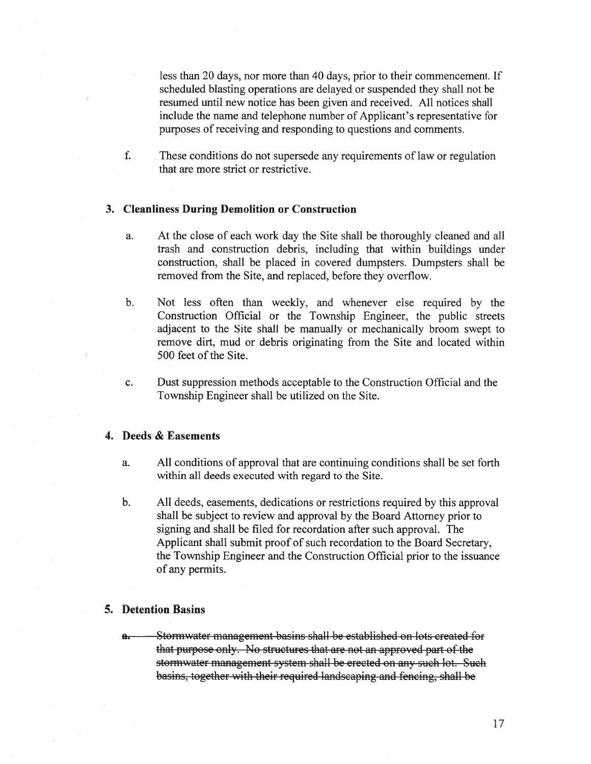less than 20 days, nor more than 40 days, prior to their commencement. If scheduled blasting operations are delayed or suspended they shall not be resumed until new notice has been given and received. All notices shall include the name and telephone number of Applicant's representative for purposes of receiving and responding to questions and comments.

f. These conditions do not supersede any requirements of law or regulation that are more strict or restrictive.

### 3. Cleanliness During Demolition or Construction

- a. At the close of each work day the Site shall be thoroughly cleaned and all trash and construction debris, including that within buildings under construction, shall be placed in covered dumpsters. Dumpsters shall be removed from the Site, and replaced, before they overflow.
- b. Not less often than weekly, and whenever else required by the Construction Official or the Township Engineer, the public streets adjacent to the Site shall be manually or mechanically broom swep<sup>t</sup> to remove dirt, mud or debris originating from the Site and located within 500 feet of the Site.
- c. Dust suppression methods acceptable to the Construction Official and the Township Engineer shall be utilized on the Site.

# 4. Deeds & Easements

- a. All conditions of approval that are continuing conditions shall be set forth within all deeds executed with regard to the Site.
- b. All deeds, easements, dedications or restrictions required by this approval shall be subject to review and approval by the Board Attorney prior to signing and shall be filed for recordation after such approval. The Applicant shall submit proof of such recordation to the Board Secretary, the Township Engineer and the Construction Official prior to the issuance of any permits.

#### 5. Detention Basins

a. Stormwater management basins shall be established on lots created for that purpose only. No structures that are not an approved par<sup>t</sup> of the stormwater management system shall be erected on any such lot. Such basins, together with their required landscaping and fencing, shall be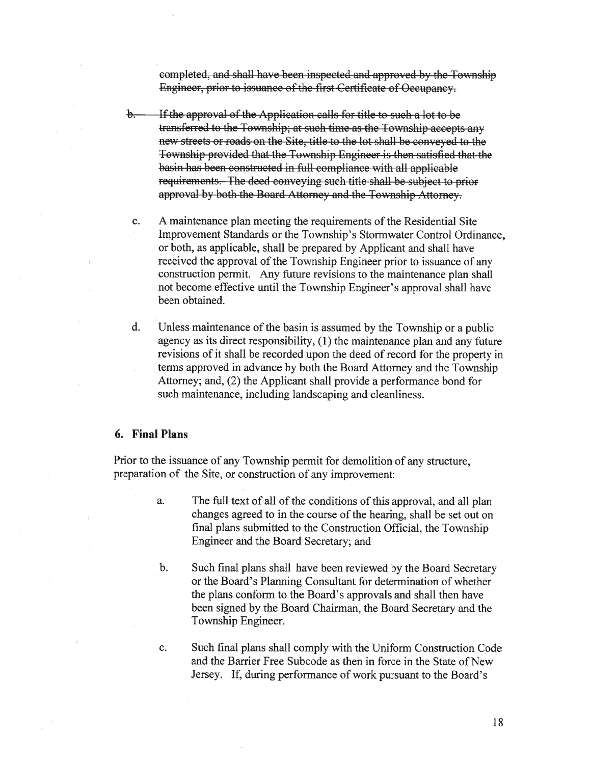completed, and shall have been inspected and approved by the Township Engineer, prior to issuance of the first Certificate of Occupancy.

- b. If the approval of the Application calls for title to such a lot to be transferred to the Township; at such time as the Township accepts any new streets or roads on the Site, title to the lot shall be conveyed to the Township provided that the Township Engineer is then satisfied that the basin has been constructed in full compliance with all applicable requirements. The deed conveying such title shall be subject to prior approval by both the Board Attorney and the Township Attorney.
- c. A maintenance plan meeting the requirements of the Residential Site Improvement Standards or the Township's Stormwater Control Ordinance, or both, as applicable, shall be prepared. by Applicant and shall have received the approva<sup>l</sup> of the Township Engineer prior to issuance of any construction permit. Any future revisions to the maintenance <sup>p</sup>lan shall not become effective until the Township Engineer's approval shall have been obtained.
- d. Unless maintenance of the basin is assumed by the Township or <sup>a</sup> public agency as its direct responsibility, (1) the maintenance plan and any future revisions of it shall be recorded upon the deed of record for the property in terms approved in advance by both the Board Attorney and the Township Attorney; and, (2) the Applicant shall provide <sup>a</sup> performance bond for such maintenance, including landscaping and cleanliness.

## 6. Final Plans

Prior to the issuance of any Township permit for demolition of any structure, preparation of the Site, or construction of any improvement:

- a. The full text of all of the conditions of this approval, and all <sup>p</sup>lan changes agreed to in the course of the hearing, shall be set out on final plans submitted to the Construction Official, the Township Engineer and the Board Secretary; and
- b. Such final <sup>p</sup>lans shall have been reviewed by the Board Secretary or the Board's Planning Consultant for determination of whether the plans conform to the Board's approvals and shall then have been signed by the Board Chairman, the Board Secretary and the Township Engineer.
- c. Such final plans shall comply with the Uniform Construction Code and the Barrier Free Subcode as then in force in the State of New Jersey. If, during performance of work pursuan<sup>t</sup> to the Board's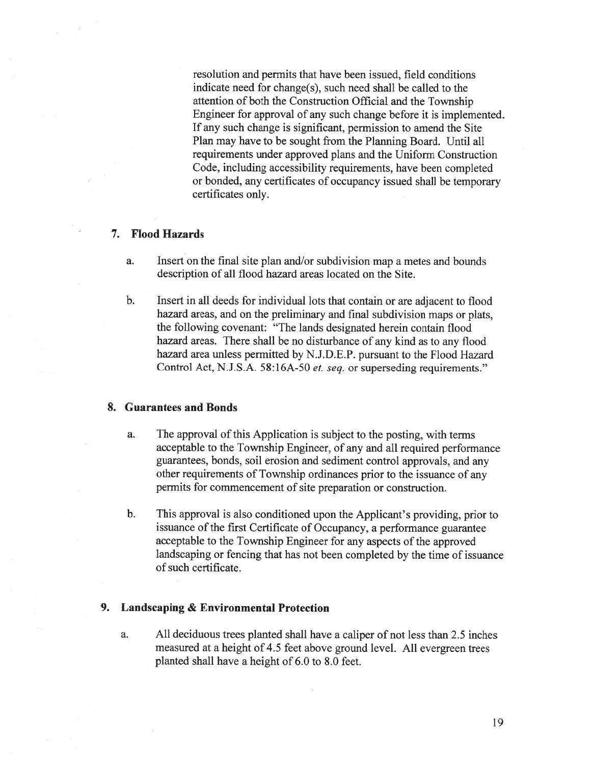resolution and permits that have been issued, field conditions indicate need for change(s), such need shall be called to the attention of both the Construction Official and the Township Engineer for approval of any such change before it is implemented. If any such change is significant, permission to amend the Site Plan may have to be sought from the Planning Board. Until all requirements under approved plans and the Uniform Construction Code, including accessibility requirements, have been completed or bonded, any certificates of occupancy issued shall be temporary certificates only.

# 7. Flood Hazards

- a. Insert on the final site plan and/or subdivision map <sup>a</sup> metes and bounds description of all flood hazard areas located on the Site.
- b. Insert in all deeds for individual lots that contain or are adjacent to flood hazard areas, and on the preliminary and final subdivision maps or <sup>p</sup>lats, the following covenant: "The lands designated herein contain flood hazard areas. There shall be no disturbance of any kind as to any flood hazard area unless permitted by N.J.D.E.P. pursuan<sup>t</sup> to the Flood Hazard Control Act, N.J.S.A. 58:l6A-50 et. seq. or superseding requirements."

#### 8. Guarantees and Bonds

- a. The approval of this Application is subject to the posting, with terms acceptable to the Township Engineer, of any and all required performance guarantees, bonds, soil erosion and sediment control approvals, and any other requirements of Township ordinances prior to the issuance of any permits for commencement of site preparation or construction.
- b. This approval is also conditioned upon the Applicant's providing, prior to issuance of the first Certificate of Occupancy, <sup>a</sup> performance guarantee acceptable to the Township Engineer for any aspects of the approved landscaping or fencing that has not been completed by the time of issuance of such certificate.

### 9. Landscaping & Environmental Protection

a. All deciduous trees <sup>p</sup>lanted shall have <sup>a</sup> caliper of not less than 2.5 inches measured at <sup>a</sup> height of 4.5 feet above ground level. All evergreen trees planted shall have <sup>a</sup> height of 6.0 to 8.0 feet.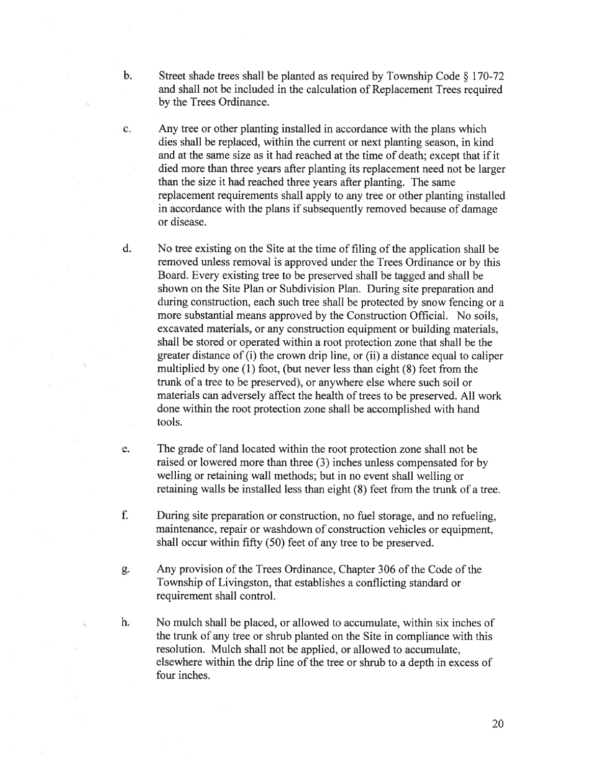- b. Street shade trees shall be planted as required by Township Code  $\S 170-72$ and shall not be included in the calculation of Replacement Trees required by the Trees Ordinance.
- c. Any tree or other planting installed in accordance with the plans which dies shall be replaced, within the current or next planting season, in kind and at the same size as it had reached at the time of death; excep<sup>t</sup> that if it died more than three years after planting its replacement need not be larger than the size it had reached three years after planting. The same replacement requirements shall apply to any tree or other planting installed in accordance with the plans if subsequently removed because of damage or disease.
- d. No tree existing on the Site at the time of filing of the application shall be removed unless removal is approved under the Trees Ordinance or by this Board. Every existing tree to be preserved shall be tagged and shall be shown on the Site Plan or Subdivision Plan. During site preparation and during construction, each such tree shall be protected by snow fencing or <sup>a</sup> more substantial means approved by the Construction Official. No soils. excavated materials, or any construction equipment or building materials, shall be stored or operated within <sup>a</sup> root protection zone that shall be the greater distance of (i) the crown drip line, or (ii) <sup>a</sup> distance equal to caliper multiplied by one (1) foot, (but never less than eight (8) feet from the trunk of <sup>a</sup> tree to be preserved), or anywhere else where such soil or materials can adversely affect the health of trees to be preserved. All work done within the root protection zone shall be accomplished with hand tools.
- e. The grade of land located within the root protection zone shall not be raised or lowered more than three (3) inches unless compensated for by welling or retaining wall methods; but in no event shall welling or retaining walls be installed less than eight (8) feet from the trunk of <sup>a</sup> tree.
- f. During site preparation or construction, no fuel storage, and no refueling, maintenance, repair or washdown of construction vehicles or equipment, shall occur within fifty (50) feet of any tree to be preserved.
- g. Any provision of the Trees Ordinance, Chapter 306 of the Code of the Township of Livingston, that establishes <sup>a</sup> conflicting standard or requirement shall control.
- h. No mulch shall be placed, or allowed to accumulate, within six inches of the trunk of any tree or shrub planted on the Site in compliance with this resolution. Mulch shall not be applied, or allowed to accumulate, elsewhere within the drip line of the tree or shrub to <sup>a</sup> depth in excess of four inches.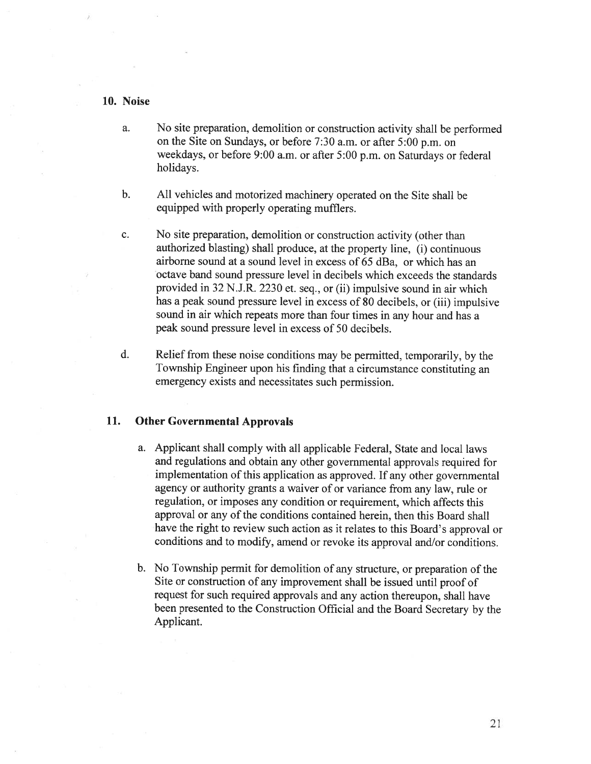# 10. Noise

- a. No site preparation, demolition or construction activity shall be performed on the Site on Sundays, or before 7:30 a.m. or after 5:00 p.m. on weekdays, or before 9:00 a.m. or after 5:00 p.m. on Saturdays or federal holidays.
- b. All vehicles and motorized machinery operated on the Site shall be equipped with properly operating mufflers.
- c. No site preparation, demolition or construction activity (other than authorized blasting) shall produce, at the property line, (i) continuous airborne sound at <sup>a</sup> sound level in excess of 65 dBa, or which has an octave band sound pressure level in decibels which exceeds the standards provided in <sup>32</sup> N.J.R. <sup>2230</sup> et. seq., or (ii) impulsive sound in air which has <sup>a</sup> pea<sup>k</sup> sound pressure level in excess of <sup>80</sup> decibels, or (iii) impulsive sound in air which repeats more than four times in any hour and has <sup>a</sup> peak sound pressure level in excess of 50 decibels.
- d. Relief from these noise conditions may be permitted, temporarily, by the Township Engineer upon his finding that <sup>a</sup> circumstance constituting an emergency exists and necessitates such permission.

# 11. Other Governmental Approvals

- a. Applicant shall comply with all applicable Federal, State and local laws and regulations and obtain any other governmental approvals required for implementation of this application as approved. If any other governmental agency or authority grants <sup>a</sup> waiver of or variance from any law, rule or regulation, or imposes any condition or requirement, which affects this approval or any of the conditions contained herein, then this Board shall have the right to review such action as it relates to this Board's approva<sup>l</sup> or conditions and to modify, amend or revoke its approva<sup>l</sup> and/or conditions.
- b. No Township permit for demolition of any structure, or preparation of the Site or construction of any improvement shall be issued until proo<sup>f</sup> of reques<sup>t</sup> for such required approvals and any action thereupon, shall have been presented to the Construction Official and the Board Secretary by the Applicant.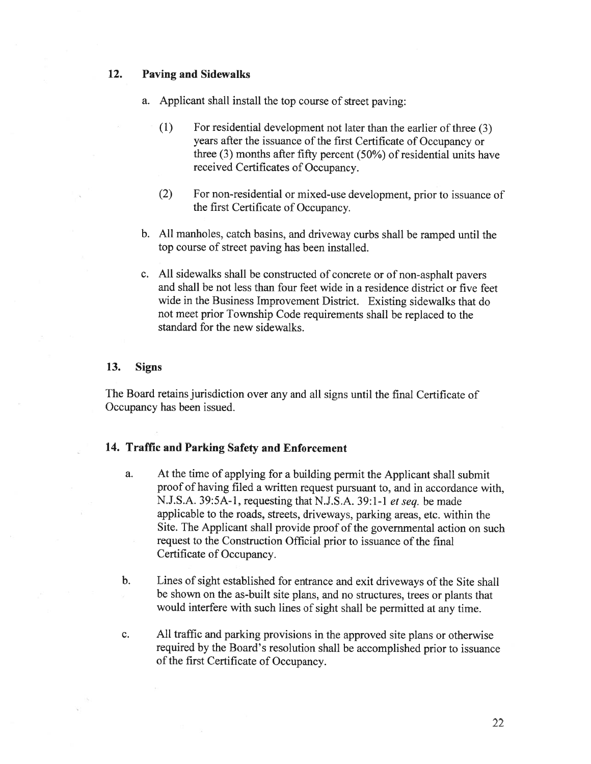### 12. Paving and Sidewalks

- a. Applicant shall install the top course of street paving:
	- (1) For residential development not later than the earlier of three (3) years after the issuance of the first Certificate of Occupancy or three (3) months after fifty percen<sup>t</sup> (50%) of residential units have received Certificates of Occupancy.
	- (2) For non-residential or mixed-use development, prior to issuance of the first Certificate of Occupancy.
- b. All manholes, catch basins, and driveway curbs shall be rampe<sup>d</sup> until the top course of street paving has been installed.
- c. All sidewalks shall be constructed of concrete or of non-asphalt payers and shall be not less than four feet wide in <sup>a</sup> residence district or five feet wide in the Business Improvement District. Existing sidewalks that do not meet prior Township Code requirements shall be replaced to the standard for the new sidewalks.

### 13. Signs

The Board retains jurisdiction over any and all signs until the final Certificate of Occupancy has been issued.

# 14. Traffic and Parking Safety and Enforcement

- a. At the time of applying for <sup>a</sup> building permit the Applicant shall submit proo<sup>f</sup> of having filed <sup>a</sup> written reques<sup>t</sup> pursuan<sup>t</sup> to, and in accordance with, N.J.S.A. 39:5A-l, requesting that N.J.S.A. 39:1-1 et seq. be made applicable to the roads, streets, driveways, parking areas, etc. within the Site. The Applicant shall provide proo<sup>f</sup> of the governmental action on such reques<sup>t</sup> to the Construction Official prior to issuance of the final Certificate of Occupancy.
- b. Lines of sight established for entrance and exit driveways of the Site shall be shown on the as-built site <sup>p</sup>lans, and no structures, trees or <sup>p</sup>lants that would interfere with such lines of sight shall be permitted at any time.
- c. All traffic and parking provisions in the approve<sup>d</sup> site <sup>p</sup>lans or otherwise required by the Board's resolution shall be accomplished prior to issuance of the first Certificate of Occupancy.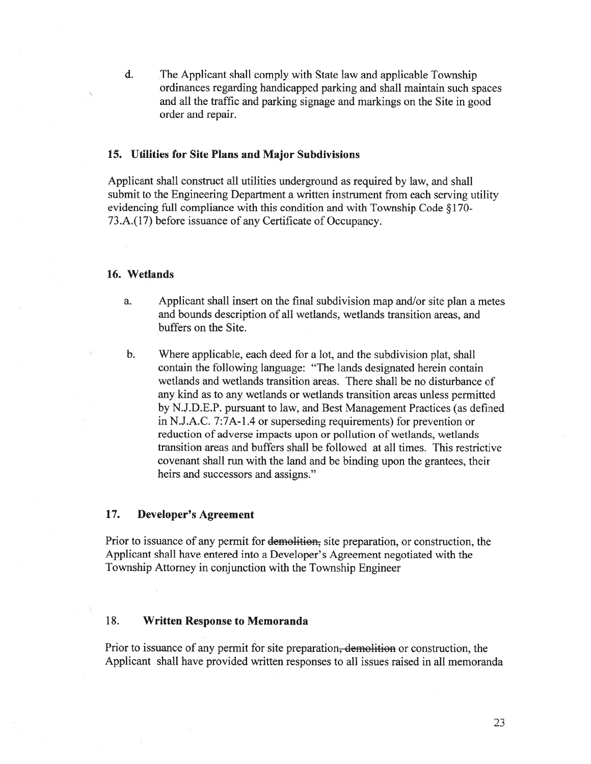d. The Applicant shall comply with State law and applicable Township ordinances regarding handicapped parking and shall maintain such spaces and all the traffic and parking signage and markings on the Site in good order and repair.

### 15. Utilities for Site Plans and Major Subdivisions

Applicant shall construct all utilities underground as required by law, and shall submit to the Engineering Department <sup>a</sup> written instrument from each serving utility evidencing full compliance with this condition and with Township Code §170- 73.A.(17) before issuance of any Certificate of Occupancy.

#### 16. Wetlands

- a. Applicant shall insert on the final subdivision map and/or site plan <sup>a</sup> metes and bounds description of all wetlands, wetlands transition areas. and buffers on the Site.
- b. Where applicable, each deed for <sup>a</sup> lot, and the subdivision plat, shall contain the following language: "The lands designated herein contain wetlands and wetlands transition areas. There shall be no disturbance of any kind as to any wetlands or wetlands transition areas unless permitted by N.J.D.E.P. pursuan<sup>t</sup> to law, and Best Management Practices (as defined in N.J.A.C. 7:7A-l .4 or superseding requirements) for prevention or reduction of adverse impacts upon or pollution of wetlands, wetlands transition areas and buffers shall be followed at all times. This restrictive covenant shall run with the land and be binding upon the grantees, their heirs and successors and assigns."

### 17. Developer's Agreement

Prior to issuance of any permit for demolition, site preparation, or construction, the Applicant shall have entered into <sup>a</sup> Developer's Agreement negotiated with the Township Attorney in conjunction with the Township Engineer

# 18. Written Response to Memoranda

Prior to issuance of any permit for site preparation, demolition or construction, the Applicant shall have provided written responses to all issues raised in all memoranda